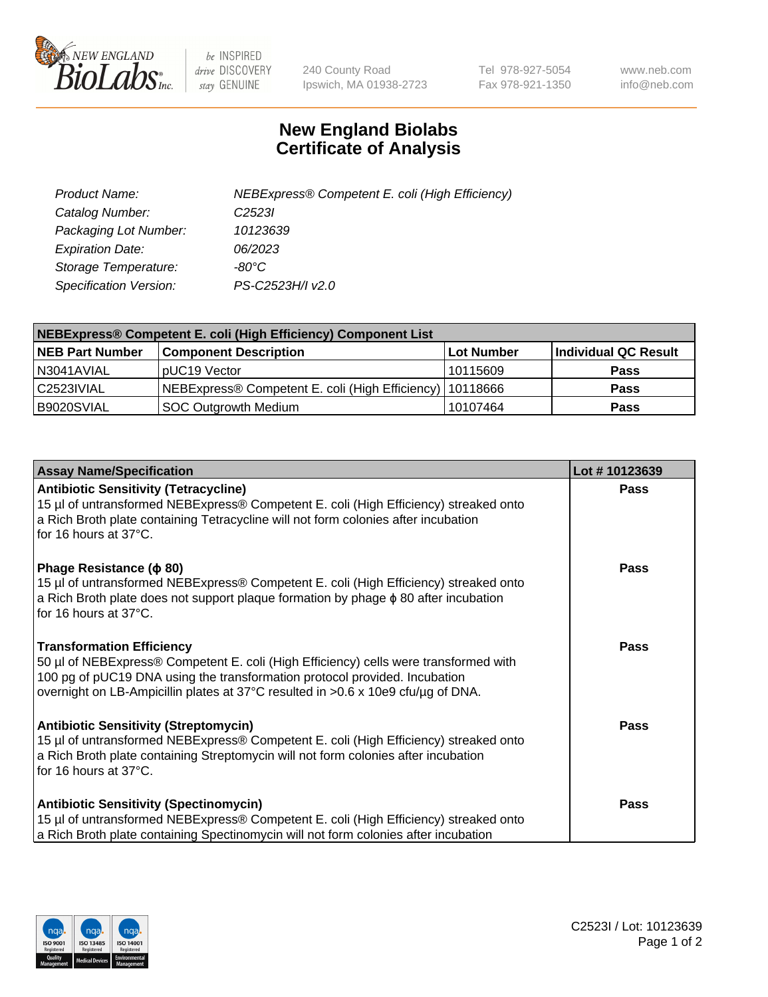

 $be$  INSPIRED drive DISCOVERY stay GENUINE

240 County Road Ipswich, MA 01938-2723 Tel 978-927-5054 Fax 978-921-1350 www.neb.com info@neb.com

## **New England Biolabs Certificate of Analysis**

| Product Name:           | NEBExpress® Competent E. coli (High Efficiency) |
|-------------------------|-------------------------------------------------|
| Catalog Number:         | C <sub>2523</sub>                               |
| Packaging Lot Number:   | 10123639                                        |
| <b>Expiration Date:</b> | 06/2023                                         |
| Storage Temperature:    | -80°C                                           |
| Specification Version:  | PS-C2523H/I v2.0                                |

| <b>NEBExpress® Competent E. coli (High Efficiency) Component List</b> |                                                            |            |                      |  |
|-----------------------------------------------------------------------|------------------------------------------------------------|------------|----------------------|--|
| <b>NEB Part Number</b>                                                | <b>Component Description</b>                               | Lot Number | Individual QC Result |  |
| N3041AVIAL                                                            | pUC19 Vector                                               | 10115609   | <b>Pass</b>          |  |
| C2523IVIAL                                                            | NEBExpress® Competent E. coli (High Efficiency)   10118666 |            | <b>Pass</b>          |  |
| B9020SVIAL                                                            | <b>SOC Outgrowth Medium</b>                                | 10107464   | <b>Pass</b>          |  |

| <b>Assay Name/Specification</b>                                                                                                                                                                                                                                                            | Lot #10123639 |
|--------------------------------------------------------------------------------------------------------------------------------------------------------------------------------------------------------------------------------------------------------------------------------------------|---------------|
| <b>Antibiotic Sensitivity (Tetracycline)</b><br>15 µl of untransformed NEBExpress® Competent E. coli (High Efficiency) streaked onto<br>a Rich Broth plate containing Tetracycline will not form colonies after incubation<br>for 16 hours at 37°C.                                        | <b>Pass</b>   |
| Phage Resistance ( $\phi$ 80)<br>15 µl of untransformed NEBExpress® Competent E. coli (High Efficiency) streaked onto<br>a Rich Broth plate does not support plaque formation by phage $\phi$ 80 after incubation<br>for 16 hours at 37°C.                                                 | Pass          |
| <b>Transformation Efficiency</b><br>50 µl of NEBExpress® Competent E. coli (High Efficiency) cells were transformed with<br>100 pg of pUC19 DNA using the transformation protocol provided. Incubation<br>overnight on LB-Ampicillin plates at 37°C resulted in >0.6 x 10e9 cfu/µg of DNA. | Pass          |
| <b>Antibiotic Sensitivity (Streptomycin)</b><br>15 µl of untransformed NEBExpress® Competent E. coli (High Efficiency) streaked onto<br>a Rich Broth plate containing Streptomycin will not form colonies after incubation<br>for 16 hours at 37°C.                                        | <b>Pass</b>   |
| <b>Antibiotic Sensitivity (Spectinomycin)</b><br>15 µl of untransformed NEBExpress® Competent E. coli (High Efficiency) streaked onto<br>a Rich Broth plate containing Spectinomycin will not form colonies after incubation                                                               | Pass          |